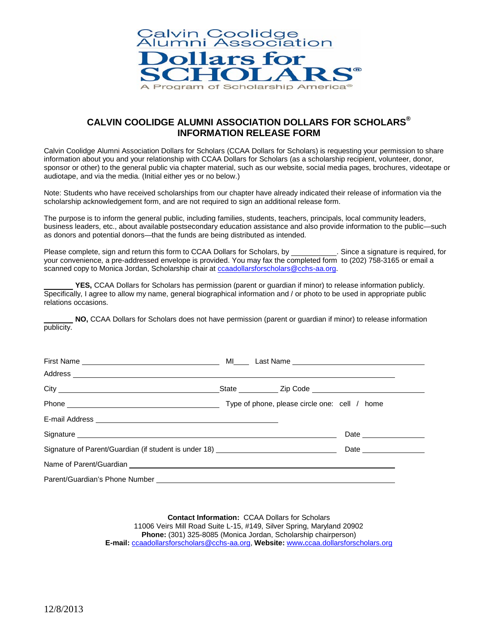

### **CALVIN COOLIDGE ALUMNI ASSOCIATION DOLLARS FOR SCHOLARS® INFORMATION RELEASE FORM**

Calvin Coolidge Alumni Association Dollars for Scholars (CCAA Dollars for Scholars) is requesting your permission to share information about you and your relationship with CCAA Dollars for Scholars (as a scholarship recipient, volunteer, donor, sponsor or other) to the general public via chapter material, such as our website, social media pages, brochures, videotape or audiotape, and via the media. (Initial either yes or no below.)

Note: Students who have received scholarships from our chapter have already indicated their release of information via the scholarship acknowledgement form, and are not required to sign an additional release form.

The purpose is to inform the general public, including families, students, teachers, principals, local community leaders, business leaders, etc., about available postsecondary education assistance and also provide information to the public—such as donors and potential donors—that the funds are being distributed as intended.

Please complete, sign and return this form to CCAA Dollars for Scholars, by \_\_\_\_\_\_\_\_\_\_\_\_. Since a signature is required, for your convenience, a pre-addressed envelope is provided. You may fax the completed form to (202) 758-3165 or email a scanned copy to Monica Jordan, Scholarship chair a[t ccaadollarsforscholars@cchs-aa.org.](mailto:ccaadollarsforscholars@cchs-aa.org)

**YES,** CCAA Dollars for Scholars has permission (parent or guardian if minor) to release information publicly. Specifically, I agree to allow my name, general biographical information and / or photo to be used in appropriate public relations occasions.

**NO,** CCAA Dollars for Scholars does not have permission (parent or guardian if minor) to release information publicity.

| Signature experience and the state of the state of the state of the state of the state of the state of the state of the state of the state of the state of the state of the state of the state of the state of the state of th |  |  |
|--------------------------------------------------------------------------------------------------------------------------------------------------------------------------------------------------------------------------------|--|--|
| Signature of Parent/Guardian (if student is under 18) __________________________                                                                                                                                               |  |  |
|                                                                                                                                                                                                                                |  |  |
|                                                                                                                                                                                                                                |  |  |

**Contact Information:** CCAA Dollars for Scholars 11006 Veirs Mill Road Suite L-15, #149, Silver Spring, Maryland 20902 **Phone:** (301) 325-8085 (Monica Jordan, Scholarship chairperson) **E-mail:** [ccaadollarsforscholars@cchs-aa.org,](mailto:ccaadollarsforscholars@cchs-aa.org) **Website:** www**.**[ccaa.dollarsforscholars.org](http://www.ccaa.dollarsforscholars.org/)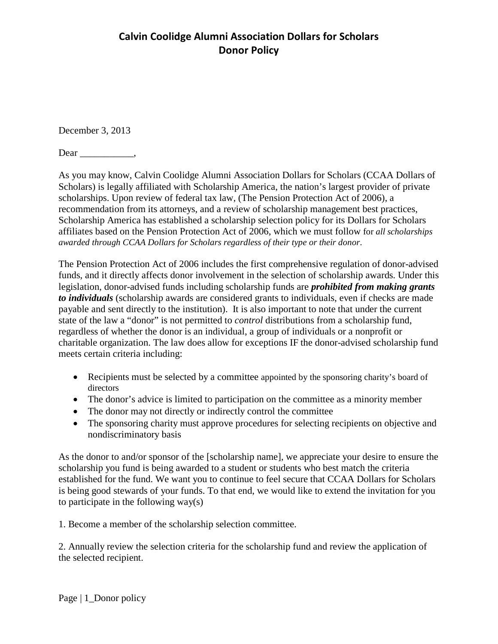# **Calvin Coolidge Alumni Association Dollars for Scholars Donor Policy**

December 3, 2013

Dear ,

As you may know, Calvin Coolidge Alumni Association Dollars for Scholars (CCAA Dollars of Scholars) is legally affiliated with Scholarship America, the nation's largest provider of private scholarships. Upon review of federal tax law, (The Pension Protection Act of 2006), a recommendation from its attorneys, and a review of scholarship management best practices, Scholarship America has established a scholarship selection policy for its Dollars for Scholars affiliates based on the Pension Protection Act of 2006, which we must follow for *all scholarships awarded through CCAA Dollars for Scholars regardless of their type or their donor*.

The Pension Protection Act of 2006 includes the first comprehensive regulation of donor-advised funds, and it directly affects donor involvement in the selection of scholarship awards. Under this legislation, donor-advised funds including scholarship funds are *prohibited from making grants to individuals* (scholarship awards are considered grants to individuals, even if checks are made payable and sent directly to the institution). It is also important to note that under the current state of the law a "donor" is not permitted to *control* distributions from a scholarship fund, regardless of whether the donor is an individual, a group of individuals or a nonprofit or charitable organization. The law does allow for exceptions IF the donor-advised scholarship fund meets certain criteria including:

- Recipients must be selected by a committee appointed by the sponsoring charity's board of directors
- The donor's advice is limited to participation on the committee as a minority member
- The donor may not directly or indirectly control the committee
- The sponsoring charity must approve procedures for selecting recipients on objective and nondiscriminatory basis

As the donor to and/or sponsor of the [scholarship name], we appreciate your desire to ensure the scholarship you fund is being awarded to a student or students who best match the criteria established for the fund. We want you to continue to feel secure that CCAA Dollars for Scholars is being good stewards of your funds. To that end, we would like to extend the invitation for you to participate in the following way(s)

1. Become a member of the scholarship selection committee.

2. Annually review the selection criteria for the scholarship fund and review the application of the selected recipient.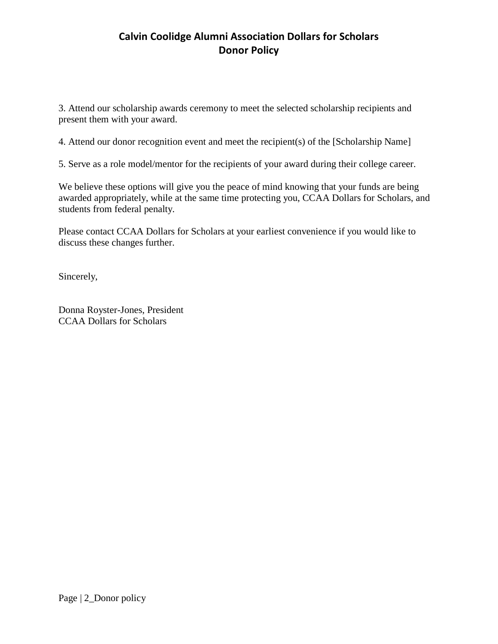# **Calvin Coolidge Alumni Association Dollars for Scholars Donor Policy**

3. Attend our scholarship awards ceremony to meet the selected scholarship recipients and present them with your award.

4. Attend our donor recognition event and meet the recipient(s) of the [Scholarship Name]

5. Serve as a role model/mentor for the recipients of your award during their college career.

We believe these options will give you the peace of mind knowing that your funds are being awarded appropriately, while at the same time protecting you, CCAA Dollars for Scholars, and students from federal penalty.

Please contact CCAA Dollars for Scholars at your earliest convenience if you would like to discuss these changes further.

Sincerely,

Donna Royster-Jones, President CCAA Dollars for Scholars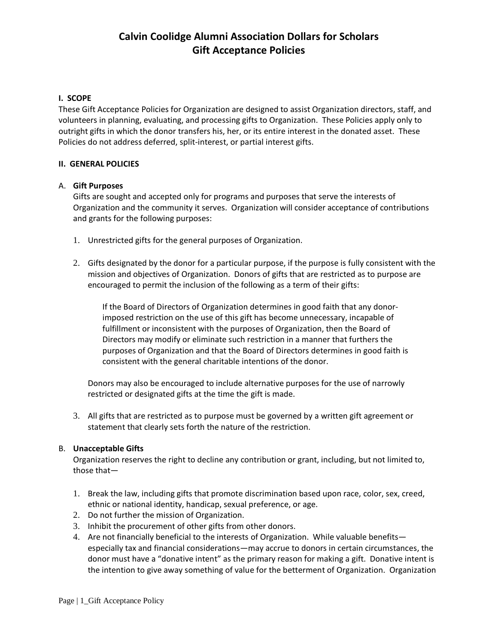### **I. SCOPE**

These Gift Acceptance Policies for Organization are designed to assist Organization directors, staff, and volunteers in planning, evaluating, and processing gifts to Organization. These Policies apply only to outright gifts in which the donor transfers his, her, or its entire interest in the donated asset. These Policies do not address deferred, split-interest, or partial interest gifts.

### **II. GENERAL POLICIES**

### A. **Gift Purposes**

Gifts are sought and accepted only for programs and purposes that serve the interests of Organization and the community it serves. Organization will consider acceptance of contributions and grants for the following purposes:

- 1. Unrestricted gifts for the general purposes of Organization.
- 2. Gifts designated by the donor for a particular purpose, if the purpose is fully consistent with the mission and objectives of Organization. Donors of gifts that are restricted as to purpose are encouraged to permit the inclusion of the following as a term of their gifts:

If the Board of Directors of Organization determines in good faith that any donorimposed restriction on the use of this gift has become unnecessary, incapable of fulfillment or inconsistent with the purposes of Organization, then the Board of Directors may modify or eliminate such restriction in a manner that furthers the purposes of Organization and that the Board of Directors determines in good faith is consistent with the general charitable intentions of the donor.

Donors may also be encouraged to include alternative purposes for the use of narrowly restricted or designated gifts at the time the gift is made.

3. All gifts that are restricted as to purpose must be governed by a written gift agreement or statement that clearly sets forth the nature of the restriction.

### B. **Unacceptable Gifts**

Organization reserves the right to decline any contribution or grant, including, but not limited to, those that—

- 1. Break the law, including gifts that promote discrimination based upon race, color, sex, creed, ethnic or national identity, handicap, sexual preference, or age.
- 2. Do not further the mission of Organization.
- 3. Inhibit the procurement of other gifts from other donors.
- 4. Are not financially beneficial to the interests of Organization. While valuable benefits especially tax and financial considerations—may accrue to donors in certain circumstances, the donor must have a "donative intent" as the primary reason for making a gift. Donative intent is the intention to give away something of value for the betterment of Organization. Organization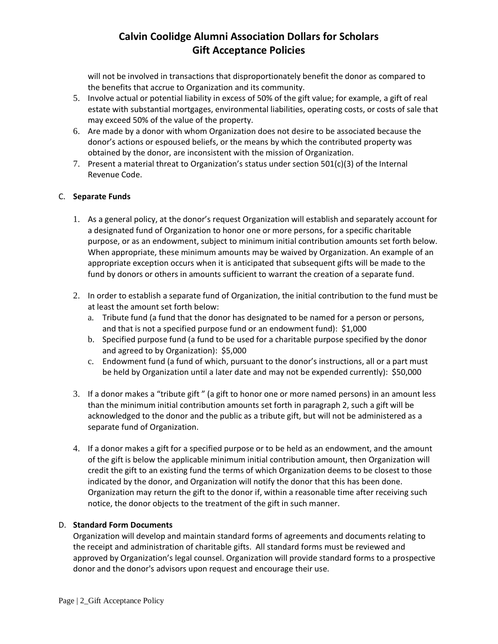will not be involved in transactions that disproportionately benefit the donor as compared to the benefits that accrue to Organization and its community.

- 5. Involve actual or potential liability in excess of 50% of the gift value; for example, a gift of real estate with substantial mortgages, environmental liabilities, operating costs, or costs of sale that may exceed 50% of the value of the property.
- 6. Are made by a donor with whom Organization does not desire to be associated because the donor's actions or espoused beliefs, or the means by which the contributed property was obtained by the donor, are inconsistent with the mission of Organization.
- 7. Present a material threat to Organization's status under section  $501(c)(3)$  of the Internal Revenue Code.

### C. **Separate Funds**

- 1. As a general policy, at the donor's request Organization will establish and separately account for a designated fund of Organization to honor one or more persons, for a specific charitable purpose, or as an endowment, subject to minimum initial contribution amounts set forth below. When appropriate, these minimum amounts may be waived by Organization. An example of an appropriate exception occurs when it is anticipated that subsequent gifts will be made to the fund by donors or others in amounts sufficient to warrant the creation of a separate fund.
- 2. In order to establish a separate fund of Organization, the initial contribution to the fund must be at least the amount set forth below:
	- a. Tribute fund (a fund that the donor has designated to be named for a person or persons, and that is not a specified purpose fund or an endowment fund): \$1,000
	- b. Specified purpose fund (a fund to be used for a charitable purpose specified by the donor and agreed to by Organization): \$5,000
	- c. Endowment fund (a fund of which, pursuant to the donor's instructions, all or a part must be held by Organization until a later date and may not be expended currently): \$50,000
- 3. If a donor makes a "tribute gift " (a gift to honor one or more named persons) in an amount less than the minimum initial contribution amounts set forth in paragraph 2, such a gift will be acknowledged to the donor and the public as a tribute gift, but will not be administered as a separate fund of Organization.
- 4. If a donor makes a gift for a specified purpose or to be held as an endowment, and the amount of the gift is below the applicable minimum initial contribution amount, then Organization will credit the gift to an existing fund the terms of which Organization deems to be closest to those indicated by the donor, and Organization will notify the donor that this has been done. Organization may return the gift to the donor if, within a reasonable time after receiving such notice, the donor objects to the treatment of the gift in such manner.

### D. **Standard Form Documents**

Organization will develop and maintain standard forms of agreements and documents relating to the receipt and administration of charitable gifts. All standard forms must be reviewed and approved by Organization's legal counsel. Organization will provide standard forms to a prospective donor and the donor's advisors upon request and encourage their use.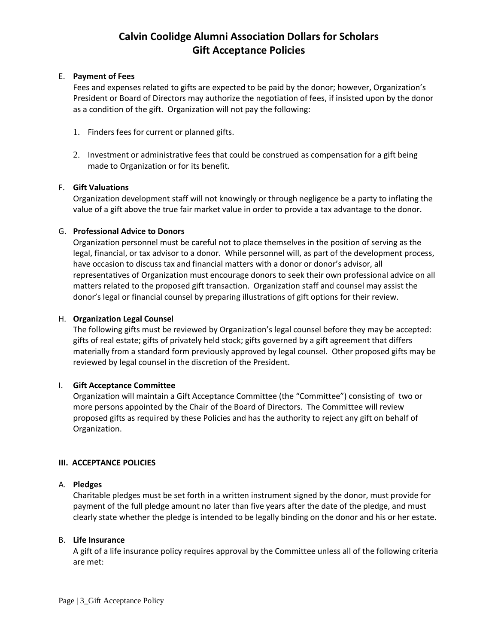#### E. **Payment of Fees**

Fees and expenses related to gifts are expected to be paid by the donor; however, Organization's President or Board of Directors may authorize the negotiation of fees, if insisted upon by the donor as a condition of the gift. Organization will not pay the following:

- 1. Finders fees for current or planned gifts.
- 2. Investment or administrative fees that could be construed as compensation for a gift being made to Organization or for its benefit.

### F. **Gift Valuations**

Organization development staff will not knowingly or through negligence be a party to inflating the value of a gift above the true fair market value in order to provide a tax advantage to the donor.

#### G. **Professional Advice to Donors**

Organization personnel must be careful not to place themselves in the position of serving as the legal, financial, or tax advisor to a donor. While personnel will, as part of the development process, have occasion to discuss tax and financial matters with a donor or donor's advisor, all representatives of Organization must encourage donors to seek their own professional advice on all matters related to the proposed gift transaction. Organization staff and counsel may assist the donor's legal or financial counsel by preparing illustrations of gift options for their review.

#### H. **Organization Legal Counsel**

The following gifts must be reviewed by Organization's legal counsel before they may be accepted: gifts of real estate; gifts of privately held stock; gifts governed by a gift agreement that differs materially from a standard form previously approved by legal counsel. Other proposed gifts may be reviewed by legal counsel in the discretion of the President.

### I. **Gift Acceptance Committee**

Organization will maintain a Gift Acceptance Committee (the "Committee") consisting of two or more persons appointed by the Chair of the Board of Directors. The Committee will review proposed gifts as required by these Policies and has the authority to reject any gift on behalf of Organization.

#### **III. ACCEPTANCE POLICIES**

#### A. **Pledges**

Charitable pledges must be set forth in a written instrument signed by the donor, must provide for payment of the full pledge amount no later than five years after the date of the pledge, and must clearly state whether the pledge is intended to be legally binding on the donor and his or her estate.

#### B. **Life Insurance**

A gift of a life insurance policy requires approval by the Committee unless all of the following criteria are met: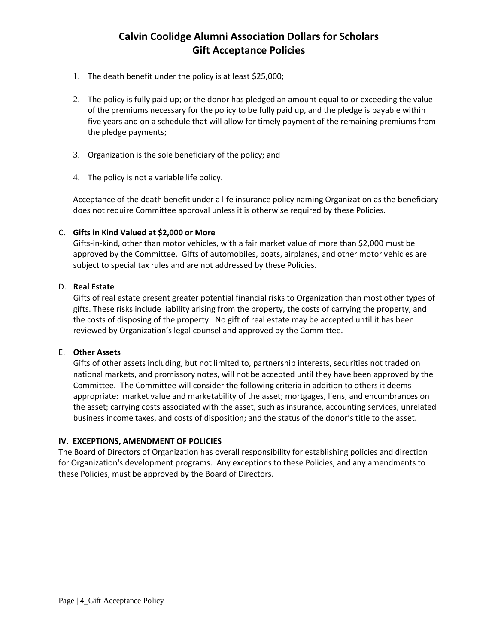- 1. The death benefit under the policy is at least \$25,000;
- 2. The policy is fully paid up; or the donor has pledged an amount equal to or exceeding the value of the premiums necessary for the policy to be fully paid up, and the pledge is payable within five years and on a schedule that will allow for timely payment of the remaining premiums from the pledge payments;
- 3. Organization is the sole beneficiary of the policy; and
- 4. The policy is not a variable life policy.

Acceptance of the death benefit under a life insurance policy naming Organization as the beneficiary does not require Committee approval unless it is otherwise required by these Policies.

### C. **Gifts in Kind Valued at \$2,000 or More**

Gifts-in-kind, other than motor vehicles, with a fair market value of more than \$2,000 must be approved by the Committee. Gifts of automobiles, boats, airplanes, and other motor vehicles are subject to special tax rules and are not addressed by these Policies.

### D. **Real Estate**

Gifts of real estate present greater potential financial risks to Organization than most other types of gifts. These risks include liability arising from the property, the costs of carrying the property, and the costs of disposing of the property. No gift of real estate may be accepted until it has been reviewed by Organization's legal counsel and approved by the Committee.

### E. **Other Assets**

Gifts of other assets including, but not limited to, partnership interests, securities not traded on national markets, and promissory notes, will not be accepted until they have been approved by the Committee. The Committee will consider the following criteria in addition to others it deems appropriate: market value and marketability of the asset; mortgages, liens, and encumbrances on the asset; carrying costs associated with the asset, such as insurance, accounting services, unrelated business income taxes, and costs of disposition; and the status of the donor's title to the asset.

### **IV. EXCEPTIONS, AMENDMENT OF POLICIES**

The Board of Directors of Organization has overall responsibility for establishing policies and direction for Organization's development programs. Any exceptions to these Policies, and any amendments to these Policies, must be approved by the Board of Directors.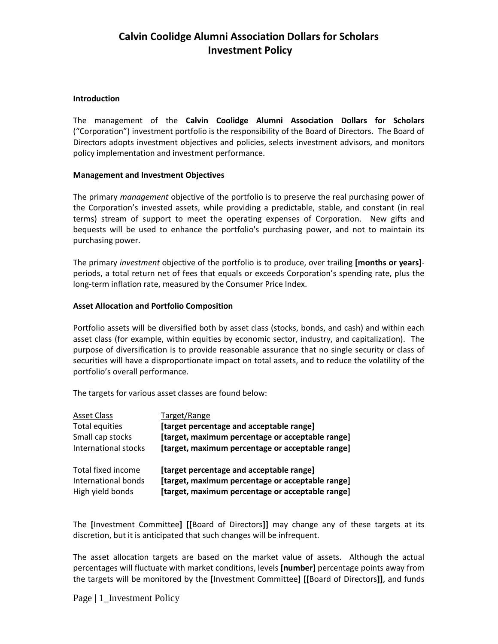# **Calvin Coolidge Alumni Association Dollars for Scholars Investment Policy**

#### **Introduction**

The management of the **Calvin Coolidge Alumni Association Dollars for Scholars** ("Corporation") investment portfolio is the responsibility of the Board of Directors. The Board of Directors adopts investment objectives and policies, selects investment advisors, and monitors policy implementation and investment performance.

#### **Management and Investment Objectives**

The primary *management* objective of the portfolio is to preserve the real purchasing power of the Corporation's invested assets, while providing a predictable, stable, and constant (in real terms) stream of support to meet the operating expenses of Corporation. New gifts and bequests will be used to enhance the portfolio's purchasing power, and not to maintain its purchasing power.

The primary *investment* objective of the portfolio is to produce, over trailing **[months or years]** periods, a total return net of fees that equals or exceeds Corporation's spending rate, plus the long-term inflation rate, measured by the Consumer Price Index.

### **Asset Allocation and Portfolio Composition**

Portfolio assets will be diversified both by asset class (stocks, bonds, and cash) and within each asset class (for example, within equities by economic sector, industry, and capitalization). The purpose of diversification is to provide reasonable assurance that no single security or class of securities will have a disproportionate impact on total assets, and to reduce the volatility of the portfolio's overall performance.

The targets for various asset classes are found below:

| <b>Asset Class</b>   | Target/Range                                     |
|----------------------|--------------------------------------------------|
| Total equities       | [target percentage and acceptable range]         |
| Small cap stocks     | [target, maximum percentage or acceptable range] |
| International stocks | [target, maximum percentage or acceptable range] |
| Total fixed income   | [target percentage and acceptable range]         |
| International bonds  | [target, maximum percentage or acceptable range] |
| High yield bonds     | [target, maximum percentage or acceptable range] |

The **[**Investment Committee**] [[**Board of Directors**]]** may change any of these targets at its discretion, but it is anticipated that such changes will be infrequent.

The asset allocation targets are based on the market value of assets. Although the actual percentages will fluctuate with market conditions, levels **[number]** percentage points away from the targets will be monitored by the **[**Investment Committee**] [[**Board of Directors**]]**, and funds

Page | 1\_Investment Policy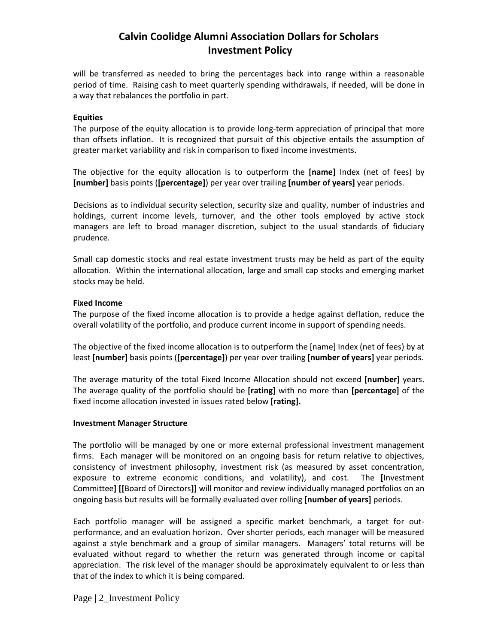# **Calvin Coolidge Alumni Association Dollars for Scholars Investment Policy**

will be transferred as needed to bring the percentages back into range within a reasonable period of time. Raising cash to meet quarterly spending withdrawals, if needed, will be done in a way that rebalances the portfolio in part.

#### **Equities**

The purpose of the equity allocation is to provide long-term appreciation of principal that more than offsets inflation. It is recognized that pursuit of this objective entails the assumption of greater market variability and risk in comparison to fixed income investments.

The objective for the equity allocation is to outperform the **[name]** Index (net of fees) by **[number]** basis points (**[percentage]**) per year over trailing **[number of years]** year periods.

Decisions as to individual security selection, security size and quality, number of industries and holdings, current income levels, turnover, and the other tools employed by active stock managers are left to broad manager discretion, subject to the usual standards of fiduciary prudence.

Small cap domestic stocks and real estate investment trusts may be held as part of the equity allocation. Within the international allocation, large and small cap stocks and emerging market stocks may be held.

#### **Fixed Income**

The purpose of the fixed income allocation is to provide a hedge against deflation, reduce the overall volatility of the portfolio, and produce current income in support of spending needs.

The objective of the fixed income allocation is to outperform the [name] Index (net of fees) by at least **[number]** basis points (**[percentage]**) per year over trailing **[number of years]** year periods.

The average maturity of the total Fixed Income Allocation should not exceed **[number]** years. The average quality of the portfolio should be **[rating]** with no more than **[percentage]** of the fixed income allocation invested in issues rated below **[rating].**

#### **Investment Manager Structure**

The portfolio will be managed by one or more external professional investment management firms. Each manager will be monitored on an ongoing basis for return relative to objectives, consistency of investment philosophy, investment risk (as measured by asset concentration, exposure to extreme economic conditions, and volatility), and cost. The **[**Investment Committee**] [[**Board of Directors**]]** will monitor and review individually managed portfolios on an ongoing basis but results will be formally evaluated over rolling **[number of years]** periods.

Each portfolio manager will be assigned a specific market benchmark, a target for outperformance, and an evaluation horizon. Over shorter periods, each manager will be measured against a style benchmark and a group of similar managers. Managers' total returns will be evaluated without regard to whether the return was generated through income or capital appreciation. The risk level of the manager should be approximately equivalent to or less than that of the index to which it is being compared.

Page | 2\_Investment Policy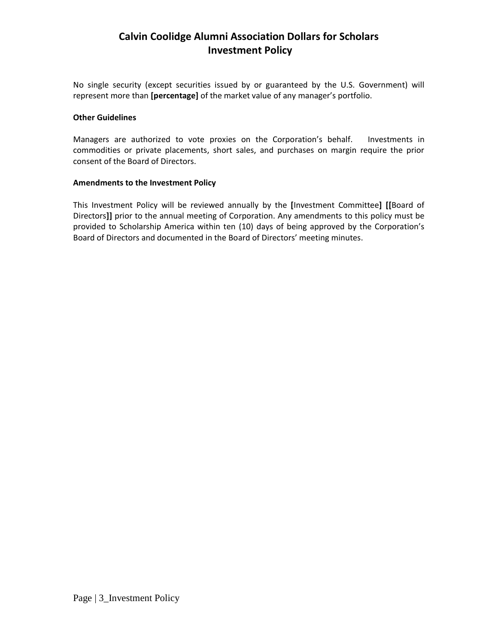# **Calvin Coolidge Alumni Association Dollars for Scholars Investment Policy**

No single security (except securities issued by or guaranteed by the U.S. Government) will represent more than **[percentage]** of the market value of any manager's portfolio.

#### **Other Guidelines**

Managers are authorized to vote proxies on the Corporation's behalf. Investments in commodities or private placements, short sales, and purchases on margin require the prior consent of the Board of Directors.

#### **Amendments to the Investment Policy**

This Investment Policy will be reviewed annually by the **[**Investment Committee**] [[**Board of Directors**]]** prior to the annual meeting of Corporation. Any amendments to this policy must be provided to Scholarship America within ten (10) days of being approved by the Corporation's Board of Directors and documented in the Board of Directors' meeting minutes.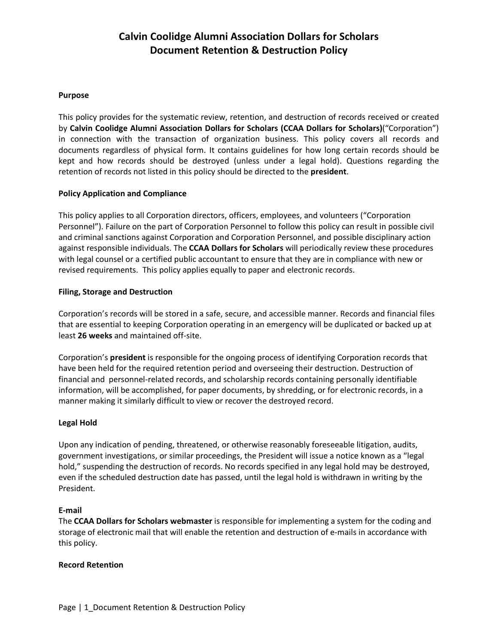# **Calvin Coolidge Alumni Association Dollars for Scholars Document Retention & Destruction Policy**

### **Purpose**

This policy provides for the systematic review, retention, and destruction of records received or created by **Calvin Coolidge Alumni Association Dollars for Scholars (CCAA Dollars for Scholars)**("Corporation") in connection with the transaction of organization business. This policy covers all records and documents regardless of physical form. It contains guidelines for how long certain records should be kept and how records should be destroyed (unless under a legal hold). Questions regarding the retention of records not listed in this policy should be directed to the **president**.

### **Policy Application and Compliance**

This policy applies to all Corporation directors, officers, employees, and volunteers ("Corporation Personnel"). Failure on the part of Corporation Personnel to follow this policy can result in possible civil and criminal sanctions against Corporation and Corporation Personnel, and possible disciplinary action against responsible individuals. The **CCAA Dollars for Scholars** will periodically review these procedures with legal counsel or a certified public accountant to ensure that they are in compliance with new or revised requirements. This policy applies equally to paper and electronic records.

### **Filing, Storage and Destruction**

Corporation's records will be stored in a safe, secure, and accessible manner. Records and financial files that are essential to keeping Corporation operating in an emergency will be duplicated or backed up at least **26 weeks** and maintained off-site.

Corporation's **president** is responsible for the ongoing process of identifying Corporation records that have been held for the required retention period and overseeing their destruction. Destruction of financial and personnel-related records, and scholarship records containing personally identifiable information, will be accomplished, for paper documents, by shredding, or for electronic records, in a manner making it similarly difficult to view or recover the destroyed record.

### **Legal Hold**

Upon any indication of pending, threatened, or otherwise reasonably foreseeable litigation, audits, government investigations, or similar proceedings, the President will issue a notice known as a "legal hold," suspending the destruction of records. No records specified in any legal hold may be destroyed, even if the scheduled destruction date has passed, until the legal hold is withdrawn in writing by the President.

### **E-mail**

The **CCAA Dollars for Scholars webmaster** is responsible for implementing a system for the coding and storage of electronic mail that will enable the retention and destruction of e-mails in accordance with this policy.

### **Record Retention**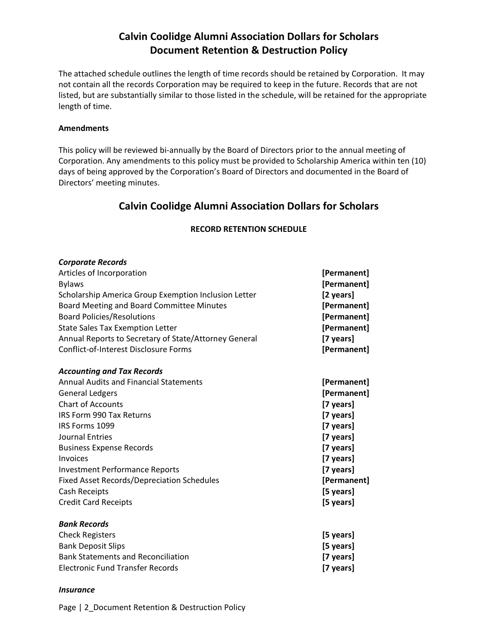# **Calvin Coolidge Alumni Association Dollars for Scholars Document Retention & Destruction Policy**

The attached schedule outlines the length of time records should be retained by Corporation. It may not contain all the records Corporation may be required to keep in the future. Records that are not listed, but are substantially similar to those listed in the schedule, will be retained for the appropriate length of time.

### **Amendments**

This policy will be reviewed bi-annually by the Board of Directors prior to the annual meeting of Corporation. Any amendments to this policy must be provided to Scholarship America within ten (10) days of being approved by the Corporation's Board of Directors and documented in the Board of Directors' meeting minutes.

## **Calvin Coolidge Alumni Association Dollars for Scholars**

### **RECORD RETENTION SCHEDULE**

| <b>Corporate Records</b>                              |             |
|-------------------------------------------------------|-------------|
| Articles of Incorporation                             | [Permanent] |
| <b>Bylaws</b>                                         | [Permanent] |
| Scholarship America Group Exemption Inclusion Letter  | [2 years]   |
| Board Meeting and Board Committee Minutes             | [Permanent] |
| <b>Board Policies/Resolutions</b>                     | [Permanent] |
| <b>State Sales Tax Exemption Letter</b>               | [Permanent] |
| Annual Reports to Secretary of State/Attorney General | [7 years]   |
| Conflict-of-Interest Disclosure Forms                 | [Permanent] |
| <b>Accounting and Tax Records</b>                     |             |
| <b>Annual Audits and Financial Statements</b>         | [Permanent] |
| <b>General Ledgers</b>                                | [Permanent] |
| <b>Chart of Accounts</b>                              | [7 years]   |
| <b>IRS Form 990 Tax Returns</b>                       | [7 years]   |
| IRS Forms 1099                                        | [7 years]   |
| <b>Journal Entries</b>                                | [7 years]   |
| <b>Business Expense Records</b>                       | [7 years]   |
| Invoices                                              | [7 years]   |
| <b>Investment Performance Reports</b>                 | [7 years]   |
| <b>Fixed Asset Records/Depreciation Schedules</b>     | [Permanent] |
| Cash Receipts                                         | [5 years]   |
| <b>Credit Card Receipts</b>                           | [5 years]   |
| <b>Bank Records</b>                                   |             |
| <b>Check Registers</b>                                | [5 years]   |
| <b>Bank Deposit Slips</b>                             | [5 years]   |
| <b>Bank Statements and Reconciliation</b>             | [7 years]   |
| <b>Electronic Fund Transfer Records</b>               | [7 years]   |

#### *Insurance*

Page | 2 Document Retention & Destruction Policy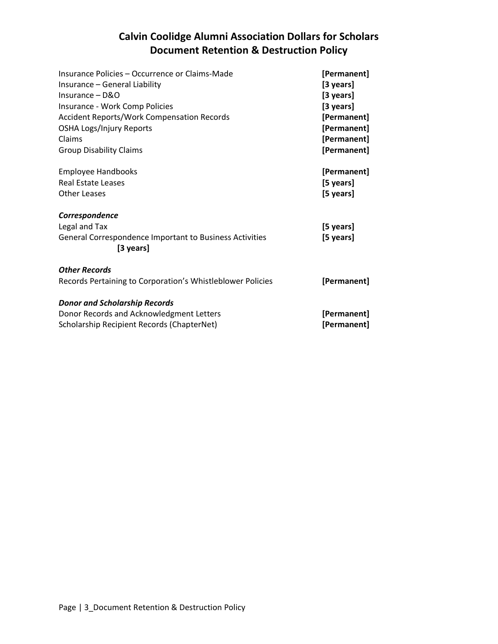# **Calvin Coolidge Alumni Association Dollars for Scholars Document Retention & Destruction Policy**

| Insurance Policies - Occurrence or Claims-Made<br>Insurance - General Liability<br>Insurance - D&O<br>Insurance - Work Comp Policies<br><b>Accident Reports/Work Compensation Records</b><br><b>OSHA Logs/Injury Reports</b><br>Claims<br><b>Group Disability Claims</b> | [Permanent]<br>[3 years]<br>[3 years]<br>[3 years]<br>[Permanent]<br>[Permanent]<br>[Permanent]<br>[Permanent] |
|--------------------------------------------------------------------------------------------------------------------------------------------------------------------------------------------------------------------------------------------------------------------------|----------------------------------------------------------------------------------------------------------------|
| <b>Employee Handbooks</b><br>Real Estate Leases<br><b>Other Leases</b>                                                                                                                                                                                                   | [Permanent]<br>[5 years]<br>[5 years]                                                                          |
| Correspondence<br>Legal and Tax<br>General Correspondence Important to Business Activities<br>[3 years]                                                                                                                                                                  | [5 years]<br>[5 years]                                                                                         |
| <b>Other Records</b><br>Records Pertaining to Corporation's Whistleblower Policies                                                                                                                                                                                       | [Permanent]                                                                                                    |
| <b>Donor and Scholarship Records</b><br>Donor Records and Acknowledgment Letters<br>Scholarship Recipient Records (ChapterNet)                                                                                                                                           | [Permanent]<br>[Permanent]                                                                                     |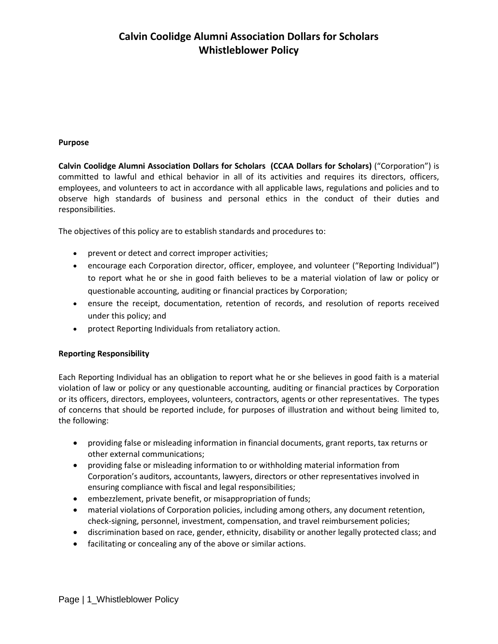# **Calvin Coolidge Alumni Association Dollars for Scholars Whistleblower Policy**

### **Purpose**

**Calvin Coolidge Alumni Association Dollars for Scholars (CCAA Dollars for Scholars)** ("Corporation") is committed to lawful and ethical behavior in all of its activities and requires its directors, officers, employees, and volunteers to act in accordance with all applicable laws, regulations and policies and to observe high standards of business and personal ethics in the conduct of their duties and responsibilities.

The objectives of this policy are to establish standards and procedures to:

- prevent or detect and correct improper activities;
- encourage each Corporation director, officer, employee, and volunteer ("Reporting Individual") to report what he or she in good faith believes to be a material violation of law or policy or questionable accounting, auditing or financial practices by Corporation;
- ensure the receipt, documentation, retention of records, and resolution of reports received under this policy; and
- protect Reporting Individuals from retaliatory action.

### **Reporting Responsibility**

Each Reporting Individual has an obligation to report what he or she believes in good faith is a material violation of law or policy or any questionable accounting, auditing or financial practices by Corporation or its officers, directors, employees, volunteers, contractors, agents or other representatives. The types of concerns that should be reported include, for purposes of illustration and without being limited to, the following:

- providing false or misleading information in financial documents, grant reports, tax returns or other external communications;
- providing false or misleading information to or withholding material information from Corporation's auditors, accountants, lawyers, directors or other representatives involved in ensuring compliance with fiscal and legal responsibilities;
- embezzlement, private benefit, or misappropriation of funds;
- material violations of Corporation policies, including among others, any document retention, check-signing, personnel, investment, compensation, and travel reimbursement policies;
- discrimination based on race, gender, ethnicity, disability or another legally protected class; and
- facilitating or concealing any of the above or similar actions.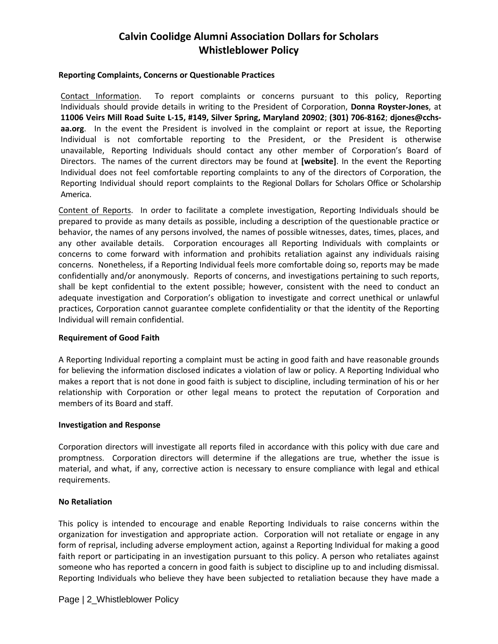# **Calvin Coolidge Alumni Association Dollars for Scholars Whistleblower Policy**

#### **Reporting Complaints, Concerns or Questionable Practices**

Contact Information. To report complaints or concerns pursuant to this policy, Reporting Individuals should provide details in writing to the President of Corporation, **Donna Royster-Jones**, at **11006 Veirs Mill Road Suite L-15, #149, Silver Spring, Maryland 20902**; **(301) 706-8162**; **djones@cchsaa.org**. In the event the President is involved in the complaint or report at issue, the Reporting Individual is not comfortable reporting to the President, or the President is otherwise unavailable, Reporting Individuals should contact any other member of Corporation's Board of Directors. The names of the current directors may be found at **[website]**. In the event the Reporting Individual does not feel comfortable reporting complaints to any of the directors of Corporation, the Reporting Individual should report complaints to the Regional Dollars for Scholars Office or Scholarship America.

Content of Reports. In order to facilitate a complete investigation, Reporting Individuals should be prepared to provide as many details as possible, including a description of the questionable practice or behavior, the names of any persons involved, the names of possible witnesses, dates, times, places, and any other available details. Corporation encourages all Reporting Individuals with complaints or concerns to come forward with information and prohibits retaliation against any individuals raising concerns. Nonetheless, if a Reporting Individual feels more comfortable doing so, reports may be made confidentially and/or anonymously. Reports of concerns, and investigations pertaining to such reports, shall be kept confidential to the extent possible; however, consistent with the need to conduct an adequate investigation and Corporation's obligation to investigate and correct unethical or unlawful practices, Corporation cannot guarantee complete confidentiality or that the identity of the Reporting Individual will remain confidential.

### **Requirement of Good Faith**

A Reporting Individual reporting a complaint must be acting in good faith and have reasonable grounds for believing the information disclosed indicates a violation of law or policy. A Reporting Individual who makes a report that is not done in good faith is subject to discipline, including termination of his or her relationship with Corporation or other legal means to protect the reputation of Corporation and members of its Board and staff.

#### **Investigation and Response**

Corporation directors will investigate all reports filed in accordance with this policy with due care and promptness. Corporation directors will determine if the allegations are true, whether the issue is material, and what, if any, corrective action is necessary to ensure compliance with legal and ethical requirements.

### **No Retaliation**

This policy is intended to encourage and enable Reporting Individuals to raise concerns within the organization for investigation and appropriate action. Corporation will not retaliate or engage in any form of reprisal, including adverse employment action, against a Reporting Individual for making a good faith report or participating in an investigation pursuant to this policy. A person who retaliates against someone who has reported a concern in good faith is subject to discipline up to and including dismissal. Reporting Individuals who believe they have been subjected to retaliation because they have made a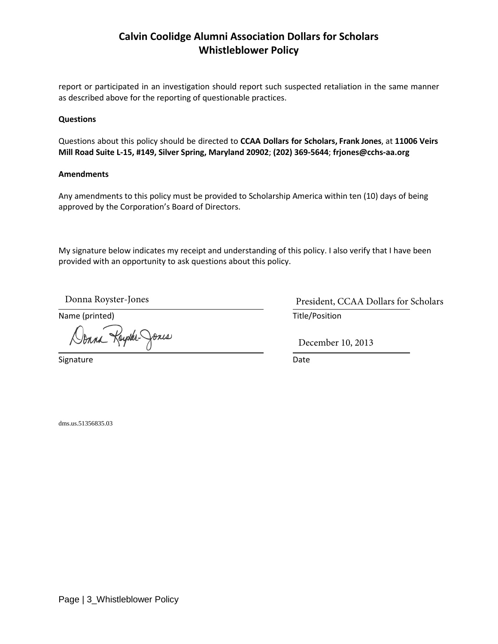# **Calvin Coolidge Alumni Association Dollars for Scholars Whistleblower Policy**

report or participated in an investigation should report such suspected retaliation in the same manner as described above for the reporting of questionable practices.

### **Questions**

Questions about this policy should be directed to **CCAA Dollars for Scholars, Frank Jones**, at **11006 Veirs Mill Road Suite L-15, #149, Silver Spring, Maryland 20902**; **(202) 369-5644**; **frjones@cchs-aa.org** 

#### **Amendments**

Any amendments to this policy must be provided to Scholarship America within ten (10) days of being approved by the Corporation's Board of Directors.

My signature below indicates my receipt and understanding of this policy. I also verify that I have been provided with an opportunity to ask questions about this policy.

Name (printed) and the contract of the Title/Position and Title/Position

Donna Royaler-Jones

Signature Date Date

Donna Royster-Jones President, CCAA Dollars for Scholars

December 10, 2013

dms.us.51356835.03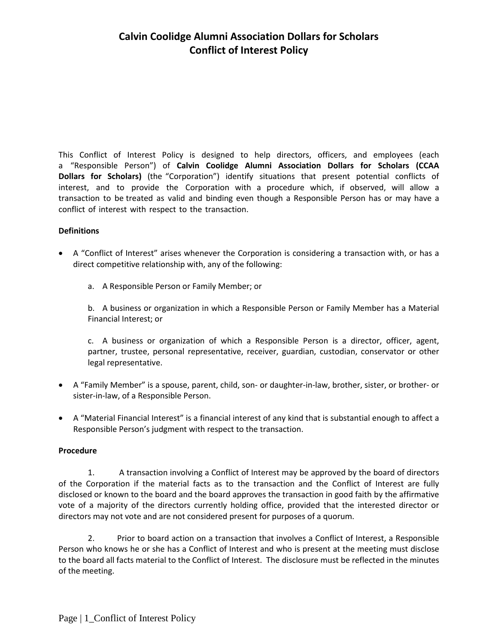# **Calvin Coolidge Alumni Association Dollars for Scholars Conflict of Interest Policy**

This Conflict of Interest Policy is designed to help directors, officers, and employees (each a "Responsible Person") of **Calvin Coolidge Alumni Association Dollars for Scholars (CCAA Dollars for Scholars)** (the "Corporation") identify situations that present potential conflicts of interest, and to provide the Corporation with a procedure which, if observed, will allow a transaction to be treated as valid and binding even though a Responsible Person has or may have a conflict of interest with respect to the transaction.

### **Definitions**

- A "Conflict of Interest" arises whenever the Corporation is considering a transaction with, or has a direct competitive relationship with, any of the following:
	- a. A Responsible Person or Family Member; or

b. A business or organization in which a Responsible Person or Family Member has a Material Financial Interest; or

c. A business or organization of which a Responsible Person is a director, officer, agent, partner, trustee, personal representative, receiver, guardian, custodian, conservator or other legal representative.

- A "Family Member" is a spouse, parent, child, son- or daughter-in-law, brother, sister, or brother- or sister-in-law, of a Responsible Person.
- A "Material Financial Interest" is a financial interest of any kind that is substantial enough to affect a Responsible Person's judgment with respect to the transaction.

### **Procedure**

1. A transaction involving a Conflict of Interest may be approved by the board of directors of the Corporation if the material facts as to the transaction and the Conflict of Interest are fully disclosed or known to the board and the board approves the transaction in good faith by the affirmative vote of a majority of the directors currently holding office, provided that the interested director or directors may not vote and are not considered present for purposes of a quorum.

2. Prior to board action on a transaction that involves a Conflict of Interest, a Responsible Person who knows he or she has a Conflict of Interest and who is present at the meeting must disclose to the board all facts material to the Conflict of Interest. The disclosure must be reflected in the minutes of the meeting.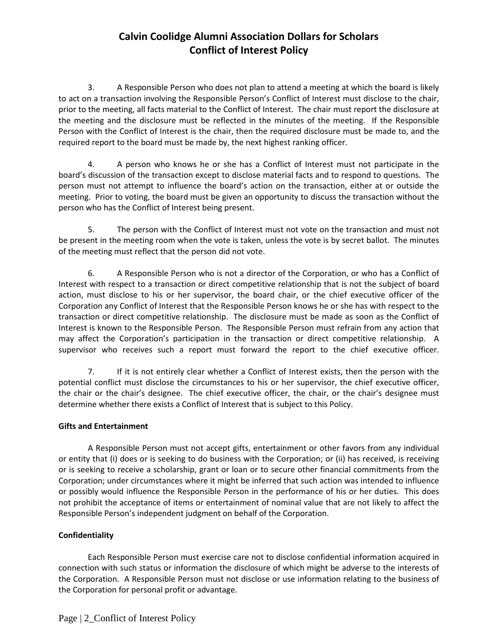# **Calvin Coolidge Alumni Association Dollars for Scholars Conflict of Interest Policy**

3. A Responsible Person who does not plan to attend a meeting at which the board is likely to act on a transaction involving the Responsible Person's Conflict of Interest must disclose to the chair, prior to the meeting, all facts material to the Conflict of Interest. The chair must report the disclosure at the meeting and the disclosure must be reflected in the minutes of the meeting. If the Responsible Person with the Conflict of Interest is the chair, then the required disclosure must be made to, and the required report to the board must be made by, the next highest ranking officer.

4. A person who knows he or she has a Conflict of Interest must not participate in the board's discussion of the transaction except to disclose material facts and to respond to questions. The person must not attempt to influence the board's action on the transaction, either at or outside the meeting. Prior to voting, the board must be given an opportunity to discuss the transaction without the person who has the Conflict of Interest being present.

5. The person with the Conflict of Interest must not vote on the transaction and must not be present in the meeting room when the vote is taken, unless the vote is by secret ballot. The minutes of the meeting must reflect that the person did not vote.

6. A Responsible Person who is not a director of the Corporation, or who has a Conflict of Interest with respect to a transaction or direct competitive relationship that is not the subject of board action, must disclose to his or her supervisor, the board chair, or the chief executive officer of the Corporation any Conflict of Interest that the Responsible Person knows he or she has with respect to the transaction or direct competitive relationship. The disclosure must be made as soon as the Conflict of Interest is known to the Responsible Person. The Responsible Person must refrain from any action that may affect the Corporation's participation in the transaction or direct competitive relationship. A supervisor who receives such a report must forward the report to the chief executive officer.

7. If it is not entirely clear whether a Conflict of Interest exists, then the person with the potential conflict must disclose the circumstances to his or her supervisor, the chief executive officer, the chair or the chair's designee. The chief executive officer, the chair, or the chair's designee must determine whether there exists a Conflict of Interest that is subject to this Policy.

### **Gifts and Entertainment**

A Responsible Person must not accept gifts, entertainment or other favors from any individual or entity that (i) does or is seeking to do business with the Corporation; or (ii) has received, is receiving or is seeking to receive a scholarship, grant or loan or to secure other financial commitments from the Corporation; under circumstances where it might be inferred that such action was intended to influence or possibly would influence the Responsible Person in the performance of his or her duties. This does not prohibit the acceptance of items or entertainment of nominal value that are not likely to affect the Responsible Person's independent judgment on behalf of the Corporation.

### **Confidentiality**

Each Responsible Person must exercise care not to disclose confidential information acquired in connection with such status or information the disclosure of which might be adverse to the interests of the Corporation. A Responsible Person must not disclose or use information relating to the business of the Corporation for personal profit or advantage.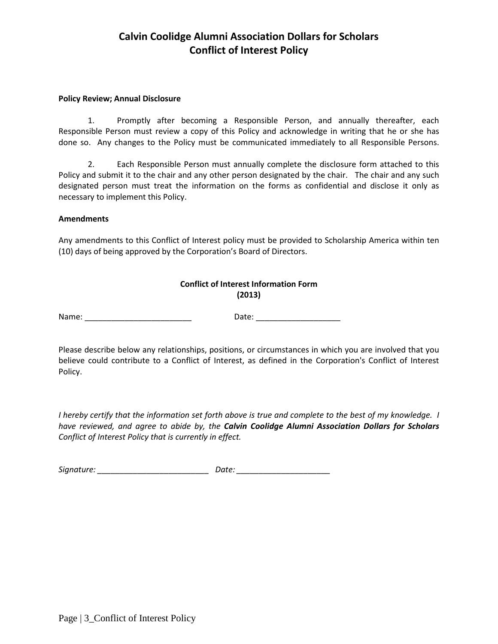# **Calvin Coolidge Alumni Association Dollars for Scholars Conflict of Interest Policy**

#### **Policy Review; Annual Disclosure**

1. Promptly after becoming a Responsible Person, and annually thereafter, each Responsible Person must review a copy of this Policy and acknowledge in writing that he or she has done so. Any changes to the Policy must be communicated immediately to all Responsible Persons.

2. Each Responsible Person must annually complete the disclosure form attached to this Policy and submit it to the chair and any other person designated by the chair. The chair and any such designated person must treat the information on the forms as confidential and disclose it only as necessary to implement this Policy.

#### **Amendments**

Any amendments to this Conflict of Interest policy must be provided to Scholarship America within ten (10) days of being approved by the Corporation's Board of Directors.

| <b>Conflict of Interest Information Form</b> |  |  |  |
|----------------------------------------------|--|--|--|
| (2013)                                       |  |  |  |

Name: \_\_\_\_\_\_\_\_\_\_\_\_\_\_\_\_\_\_\_\_\_\_\_\_ Date: \_\_\_\_\_\_\_\_\_\_\_\_\_\_\_\_\_\_\_

Please describe below any relationships, positions, or circumstances in which you are involved that you believe could contribute to a Conflict of Interest, as defined in the Corporation's Conflict of Interest Policy.

*I hereby certify that the information set forth above is true and complete to the best of my knowledge. I have reviewed, and agree to abide by, the Calvin Coolidge Alumni Association Dollars for Scholars Conflict of Interest Policy that is currently in effect.* 

*Signature: \_\_\_\_\_\_\_\_\_\_\_\_\_\_\_\_\_\_\_\_\_\_\_\_\_ Date: \_\_\_\_\_\_\_\_\_\_\_\_\_\_\_\_\_\_\_\_\_*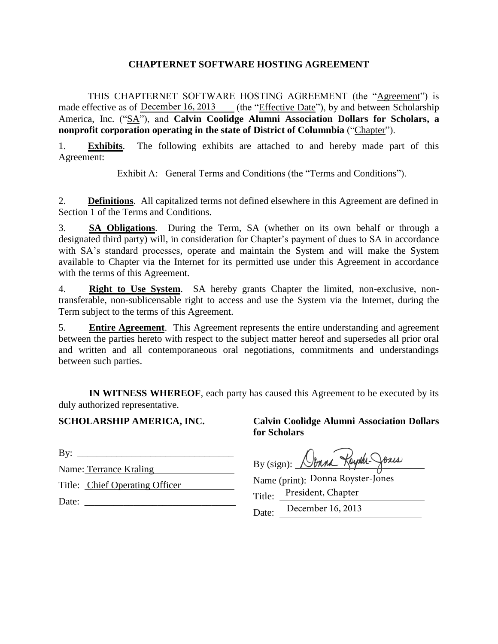## **CHAPTERNET SOFTWARE HOSTING AGREEMENT**

THIS CHAPTERNET SOFTWARE HOSTING AGREEMENT (the "Agreement") is made effective as of December 16, 2013 (the "Effective Date"), by and between Scholarship America, Inc. ("SA"), and **Calvin Coolidge Alumni Association Dollars for Scholars, a nonprofit corporation operating in the state of District of Columnbia** ("Chapter").

1. **Exhibits**. The following exhibits are attached to and hereby made part of this Agreement:

Exhibit A: General Terms and Conditions (the "Terms and Conditions").

2. **Definitions**. All capitalized terms not defined elsewhere in this Agreement are defined in Section 1 of the Terms and Conditions.

3. **SA Obligations**. During the Term, SA (whether on its own behalf or through a designated third party) will, in consideration for Chapter's payment of dues to SA in accordance with SA's standard processes, operate and maintain the System and will make the System available to Chapter via the Internet for its permitted use under this Agreement in accordance with the terms of this Agreement.

4. **Right to Use System**. SA hereby grants Chapter the limited, non-exclusive, nontransferable, non-sublicensable right to access and use the System via the Internet, during the Term subject to the terms of this Agreement.

5. **Entire Agreement**. This Agreement represents the entire understanding and agreement between the parties hereto with respect to the subject matter hereof and supersedes all prior oral and written and all contemporaneous oral negotiations, commitments and understandings between such parties.

 **IN WITNESS WHEREOF**, each party has caused this Agreement to be executed by its duly authorized representative.

## **SCHOLARSHIP AMERICA, INC.**

By:  $\qquad \qquad$ 

Name: Terrance Kraling

Title: Chief Operating Officer

Date:  $\Box$ 

## **Calvin Coolidge Alumni Association Dollars for Scholars**

By (sign): Nonna Kayaka-

Name (print): Donna Royster-Jones Title: President, Chapter

Date: December 16, 2013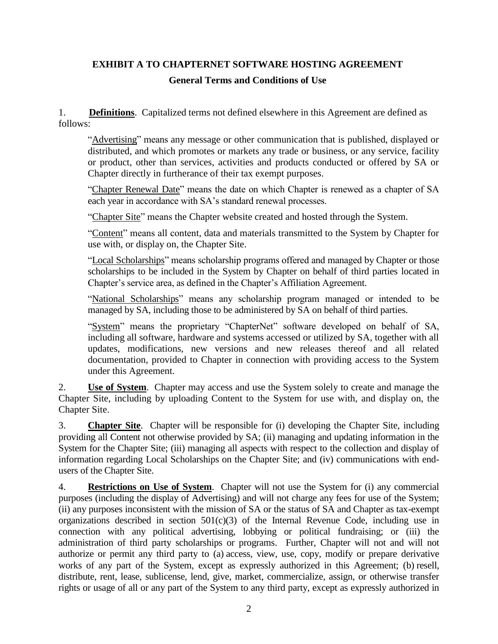# **EXHIBIT A TO CHAPTERNET SOFTWARE HOSTING AGREEMENT General Terms and Conditions of Use**

1. **Definitions**. Capitalized terms not defined elsewhere in this Agreement are defined as follows:

"Advertising" means any message or other communication that is published, displayed or distributed, and which promotes or markets any trade or business, or any service, facility or product, other than services, activities and products conducted or offered by SA or Chapter directly in furtherance of their tax exempt purposes.

"Chapter Renewal Date" means the date on which Chapter is renewed as a chapter of SA each year in accordance with SA's standard renewal processes.

"Chapter Site" means the Chapter website created and hosted through the System.

"Content" means all content, data and materials transmitted to the System by Chapter for use with, or display on, the Chapter Site.

"Local Scholarships" means scholarship programs offered and managed by Chapter or those scholarships to be included in the System by Chapter on behalf of third parties located in Chapter's service area, as defined in the Chapter's Affiliation Agreement.

"National Scholarships" means any scholarship program managed or intended to be managed by SA, including those to be administered by SA on behalf of third parties.

"System" means the proprietary "ChapterNet" software developed on behalf of SA, including all software, hardware and systems accessed or utilized by SA, together with all updates, modifications, new versions and new releases thereof and all related documentation, provided to Chapter in connection with providing access to the System under this Agreement.

2. **Use of System**. Chapter may access and use the System solely to create and manage the Chapter Site, including by uploading Content to the System for use with, and display on, the Chapter Site.

3. **Chapter Site**. Chapter will be responsible for (i) developing the Chapter Site, including providing all Content not otherwise provided by SA; (ii) managing and updating information in the System for the Chapter Site; (iii) managing all aspects with respect to the collection and display of information regarding Local Scholarships on the Chapter Site; and (iv) communications with endusers of the Chapter Site.

4. **Restrictions on Use of System**. Chapter will not use the System for (i) any commercial purposes (including the display of Advertising) and will not charge any fees for use of the System; (ii) any purposes inconsistent with the mission of SA or the status of SA and Chapter as tax-exempt organizations described in section  $501(c)(3)$  of the Internal Revenue Code, including use in connection with any political advertising, lobbying or political fundraising; or (iii) the administration of third party scholarships or programs. Further, Chapter will not and will not authorize or permit any third party to (a) access, view, use, copy, modify or prepare derivative works of any part of the System, except as expressly authorized in this Agreement; (b) resell, distribute, rent, lease, sublicense, lend, give, market, commercialize, assign, or otherwise transfer rights or usage of all or any part of the System to any third party, except as expressly authorized in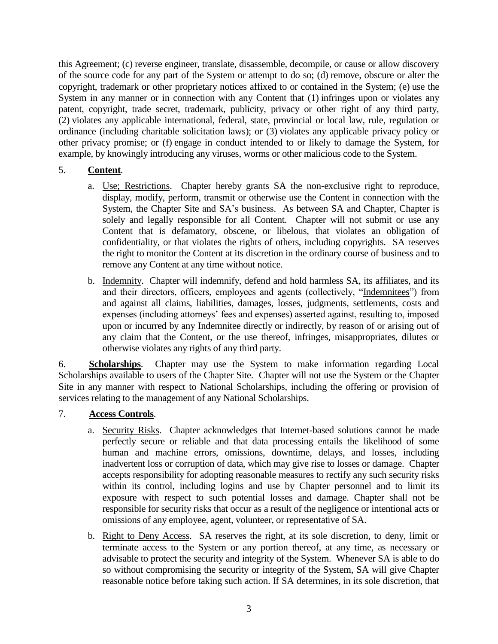this Agreement; (c) reverse engineer, translate, disassemble, decompile, or cause or allow discovery of the source code for any part of the System or attempt to do so; (d) remove, obscure or alter the copyright, trademark or other proprietary notices affixed to or contained in the System; (e) use the System in any manner or in connection with any Content that (1) infringes upon or violates any patent, copyright, trade secret, trademark, publicity, privacy or other right of any third party, (2) violates any applicable international, federal, state, provincial or local law, rule, regulation or ordinance (including charitable solicitation laws); or (3) violates any applicable privacy policy or other privacy promise; or (f) engage in conduct intended to or likely to damage the System, for example, by knowingly introducing any viruses, worms or other malicious code to the System.

- 5. **Content**.
	- a. Use; Restrictions. Chapter hereby grants SA the non-exclusive right to reproduce, display, modify, perform, transmit or otherwise use the Content in connection with the System, the Chapter Site and SA's business. As between SA and Chapter, Chapter is solely and legally responsible for all Content. Chapter will not submit or use any Content that is defamatory, obscene, or libelous, that violates an obligation of confidentiality, or that violates the rights of others, including copyrights. SA reserves the right to monitor the Content at its discretion in the ordinary course of business and to remove any Content at any time without notice.
	- b. Indemnity. Chapter will indemnify, defend and hold harmless SA, its affiliates, and its and their directors, officers, employees and agents (collectively, "Indemnitees") from and against all claims, liabilities, damages, losses, judgments, settlements, costs and expenses (including attorneys' fees and expenses) asserted against, resulting to, imposed upon or incurred by any Indemnitee directly or indirectly, by reason of or arising out of any claim that the Content, or the use thereof, infringes, misappropriates, dilutes or otherwise violates any rights of any third party.

6. **Scholarships**. Chapter may use the System to make information regarding Local Scholarships available to users of the Chapter Site. Chapter will not use the System or the Chapter Site in any manner with respect to National Scholarships, including the offering or provision of services relating to the management of any National Scholarships.

## 7. **Access Controls**.

- a. Security Risks. Chapter acknowledges that Internet-based solutions cannot be made perfectly secure or reliable and that data processing entails the likelihood of some human and machine errors, omissions, downtime, delays, and losses, including inadvertent loss or corruption of data, which may give rise to losses or damage. Chapter accepts responsibility for adopting reasonable measures to rectify any such security risks within its control, including logins and use by Chapter personnel and to limit its exposure with respect to such potential losses and damage. Chapter shall not be responsible for security risks that occur as a result of the negligence or intentional acts or omissions of any employee, agent, volunteer, or representative of SA.
- b. Right to Deny Access. SA reserves the right, at its sole discretion, to deny, limit or terminate access to the System or any portion thereof, at any time, as necessary or advisable to protect the security and integrity of the System. Whenever SA is able to do so without compromising the security or integrity of the System, SA will give Chapter reasonable notice before taking such action. If SA determines, in its sole discretion, that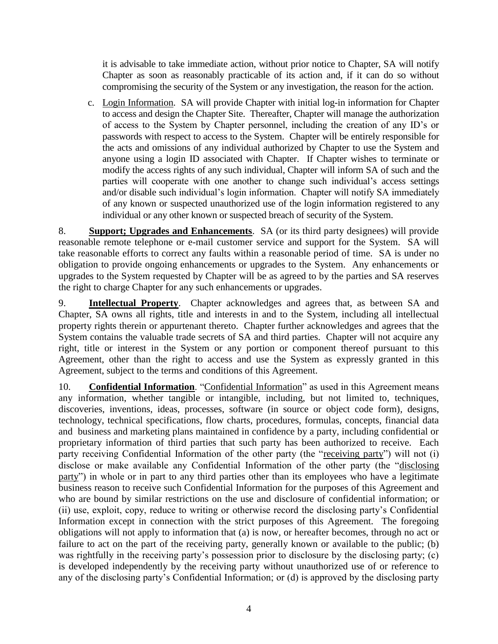it is advisable to take immediate action, without prior notice to Chapter, SA will notify Chapter as soon as reasonably practicable of its action and, if it can do so without compromising the security of the System or any investigation, the reason for the action.

c. Login Information. SA will provide Chapter with initial log-in information for Chapter to access and design the Chapter Site. Thereafter, Chapter will manage the authorization of access to the System by Chapter personnel, including the creation of any ID's or passwords with respect to access to the System.Chapter will be entirely responsible for the acts and omissions of any individual authorized by Chapter to use the System and anyone using a login ID associated with Chapter. If Chapter wishes to terminate or modify the access rights of any such individual, Chapter will inform SA of such and the parties will cooperate with one another to change such individual's access settings and/or disable such individual's login information. Chapter will notify SA immediately of any known or suspected unauthorized use of the login information registered to any individual or any other known or suspected breach of security of the System.

8. **Support; Upgrades and Enhancements**. SA (or its third party designees) will provide reasonable remote telephone or e-mail customer service and support for the System. SA will take reasonable efforts to correct any faults within a reasonable period of time. SA is under no obligation to provide ongoing enhancements or upgrades to the System. Any enhancements or upgrades to the System requested by Chapter will be as agreed to by the parties and SA reserves the right to charge Chapter for any such enhancements or upgrades.

9. **Intellectual Property**. Chapter acknowledges and agrees that, as between SA and Chapter, SA owns all rights, title and interests in and to the System, including all intellectual property rights therein or appurtenant thereto. Chapter further acknowledges and agrees that the System contains the valuable trade secrets of SA and third parties. Chapter will not acquire any right, title or interest in the System or any portion or component thereof pursuant to this Agreement, other than the right to access and use the System as expressly granted in this Agreement, subject to the terms and conditions of this Agreement.

10. **Confidential Information**. "Confidential Information" as used in this Agreement means any information, whether tangible or intangible, including, but not limited to, techniques, discoveries, inventions, ideas, processes, software (in source or object code form), designs, technology, technical specifications, flow charts, procedures, formulas, concepts, financial data and business and marketing plans maintained in confidence by a party, including confidential or proprietary information of third parties that such party has been authorized to receive. Each party receiving Confidential Information of the other party (the "receiving party") will not (i) disclose or make available any Confidential Information of the other party (the "disclosing party") in whole or in part to any third parties other than its employees who have a legitimate business reason to receive such Confidential Information for the purposes of this Agreement and who are bound by similar restrictions on the use and disclosure of confidential information; or (ii) use, exploit, copy, reduce to writing or otherwise record the disclosing party's Confidential Information except in connection with the strict purposes of this Agreement. The foregoing obligations will not apply to information that (a) is now, or hereafter becomes, through no act or failure to act on the part of the receiving party, generally known or available to the public; (b) was rightfully in the receiving party's possession prior to disclosure by the disclosing party; (c) is developed independently by the receiving party without unauthorized use of or reference to any of the disclosing party's Confidential Information; or (d) is approved by the disclosing party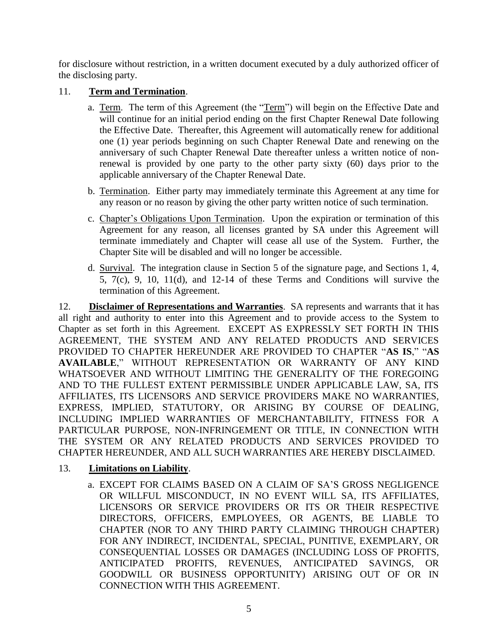for disclosure without restriction, in a written document executed by a duly authorized officer of the disclosing party.

## 11. **Term and Termination**.

- a. Term. The term of this Agreement (the "Term") will begin on the Effective Date and will continue for an initial period ending on the first Chapter Renewal Date following the Effective Date. Thereafter, this Agreement will automatically renew for additional one (1) year periods beginning on such Chapter Renewal Date and renewing on the anniversary of such Chapter Renewal Date thereafter unless a written notice of nonrenewal is provided by one party to the other party sixty (60) days prior to the applicable anniversary of the Chapter Renewal Date.
- b. Termination. Either party may immediately terminate this Agreement at any time for any reason or no reason by giving the other party written notice of such termination.
- c. Chapter's Obligations Upon Termination. Upon the expiration or termination of this Agreement for any reason, all licenses granted by SA under this Agreement will terminate immediately and Chapter will cease all use of the System. Further, the Chapter Site will be disabled and will no longer be accessible.
- d. Survival. The integration clause in Section 5 of the signature page, and Sections 1, 4, 5,  $7(c)$ , 9, 10,  $11(d)$ , and  $12-14$  of these Terms and Conditions will survive the termination of this Agreement.

12. **Disclaimer of Representations and Warranties**.SA represents and warrants that it has all right and authority to enter into this Agreement and to provide access to the System to Chapter as set forth in this Agreement. EXCEPT AS EXPRESSLY SET FORTH IN THIS AGREEMENT, THE SYSTEM AND ANY RELATED PRODUCTS AND SERVICES PROVIDED TO CHAPTER HEREUNDER ARE PROVIDED TO CHAPTER "**AS IS**," "**AS AVAILABLE**," WITHOUT REPRESENTATION OR WARRANTY OF ANY KIND WHATSOEVER AND WITHOUT LIMITING THE GENERALITY OF THE FOREGOING AND TO THE FULLEST EXTENT PERMISSIBLE UNDER APPLICABLE LAW, SA, ITS AFFILIATES, ITS LICENSORS AND SERVICE PROVIDERS MAKE NO WARRANTIES, EXPRESS, IMPLIED, STATUTORY, OR ARISING BY COURSE OF DEALING, INCLUDING IMPLIED WARRANTIES OF MERCHANTABILITY, FITNESS FOR A PARTICULAR PURPOSE, NON-INFRINGEMENT OR TITLE, IN CONNECTION WITH THE SYSTEM OR ANY RELATED PRODUCTS AND SERVICES PROVIDED TO CHAPTER HEREUNDER, AND ALL SUCH WARRANTIES ARE HEREBY DISCLAIMED.

## 13. **Limitations on Liability**.

a. EXCEPT FOR CLAIMS BASED ON A CLAIM OF SA'S GROSS NEGLIGENCE OR WILLFUL MISCONDUCT, IN NO EVENT WILL SA, ITS AFFILIATES, LICENSORS OR SERVICE PROVIDERS OR ITS OR THEIR RESPECTIVE DIRECTORS, OFFICERS, EMPLOYEES, OR AGENTS, BE LIABLE TO CHAPTER (NOR TO ANY THIRD PARTY CLAIMING THROUGH CHAPTER) FOR ANY INDIRECT, INCIDENTAL, SPECIAL, PUNITIVE, EXEMPLARY, OR CONSEQUENTIAL LOSSES OR DAMAGES (INCLUDING LOSS OF PROFITS, ANTICIPATED PROFITS, REVENUES, ANTICIPATED SAVINGS, OR GOODWILL OR BUSINESS OPPORTUNITY) ARISING OUT OF OR IN CONNECTION WITH THIS AGREEMENT.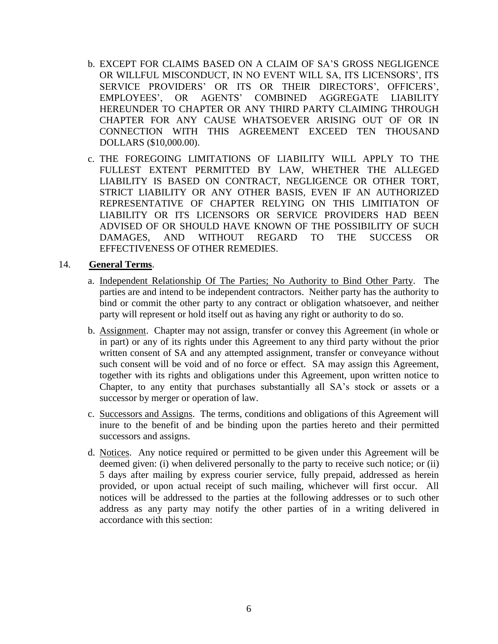- b. EXCEPT FOR CLAIMS BASED ON A CLAIM OF SA'S GROSS NEGLIGENCE OR WILLFUL MISCONDUCT, IN NO EVENT WILL SA, ITS LICENSORS', ITS SERVICE PROVIDERS' OR ITS OR THEIR DIRECTORS', OFFICERS', EMPLOYEES', OR AGENTS' COMBINED AGGREGATE LIABILITY HEREUNDER TO CHAPTER OR ANY THIRD PARTY CLAIMING THROUGH CHAPTER FOR ANY CAUSE WHATSOEVER ARISING OUT OF OR IN CONNECTION WITH THIS AGREEMENT EXCEED TEN THOUSAND DOLLARS (\$10,000.00).
- c. THE FOREGOING LIMITATIONS OF LIABILITY WILL APPLY TO THE FULLEST EXTENT PERMITTED BY LAW, WHETHER THE ALLEGED LIABILITY IS BASED ON CONTRACT, NEGLIGENCE OR OTHER TORT, STRICT LIABILITY OR ANY OTHER BASIS, EVEN IF AN AUTHORIZED REPRESENTATIVE OF CHAPTER RELYING ON THIS LIMITIATON OF LIABILITY OR ITS LICENSORS OR SERVICE PROVIDERS HAD BEEN ADVISED OF OR SHOULD HAVE KNOWN OF THE POSSIBILITY OF SUCH DAMAGES, AND WITHOUT REGARD TO THE SUCCESS OR EFFECTIVENESS OF OTHER REMEDIES.

### 14. **General Terms**.

- a. Independent Relationship Of The Parties; No Authority to Bind Other Party. The parties are and intend to be independent contractors. Neither party has the authority to bind or commit the other party to any contract or obligation whatsoever, and neither party will represent or hold itself out as having any right or authority to do so.
- b. Assignment. Chapter may not assign, transfer or convey this Agreement (in whole or in part) or any of its rights under this Agreement to any third party without the prior written consent of SA and any attempted assignment, transfer or conveyance without such consent will be void and of no force or effect. SA may assign this Agreement, together with its rights and obligations under this Agreement, upon written notice to Chapter, to any entity that purchases substantially all SA's stock or assets or a successor by merger or operation of law.
- c. Successors and Assigns. The terms, conditions and obligations of this Agreement will inure to the benefit of and be binding upon the parties hereto and their permitted successors and assigns.
- d. Notices. Any notice required or permitted to be given under this Agreement will be deemed given: (i) when delivered personally to the party to receive such notice; or (ii) 5 days after mailing by express courier service, fully prepaid, addressed as herein provided, or upon actual receipt of such mailing, whichever will first occur. All notices will be addressed to the parties at the following addresses or to such other address as any party may notify the other parties of in a writing delivered in accordance with this section: